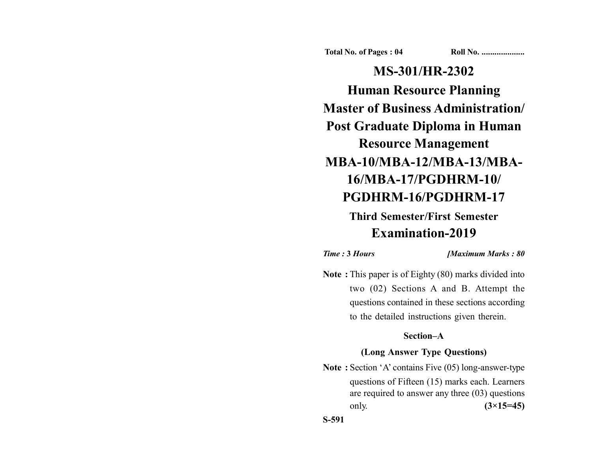**Total No. of Pages : 04 Roll No. ...................** 

**MS-301/HR-2302 Human Resource Planning Master of Business Administration/ Post Graduate Diploma in Human Resource Management MBA-10/MBA-12/MBA-13/MBA-16/MBA-17/PGDHRM-10/ PGDHRM-16/PGDHRM-17**

# **Third Semester/First Semester Examination-2019**

*Time :* **3** *Hours [Maximum Marks : 80*

**Note :** This paper is of Eighty (80) marks divided into two (02) Sections A and B. Attempt the questions contained in these sections according to the detailed instructions given therein.

## **Section–A**

## **(Long Answer Type Questions)**

**Note :** Section 'A' contains Five (05) long-answer-type questions of Fifteen (15) marks each. Learners are required to answer any three (03) questions only. **(3×15=45)**